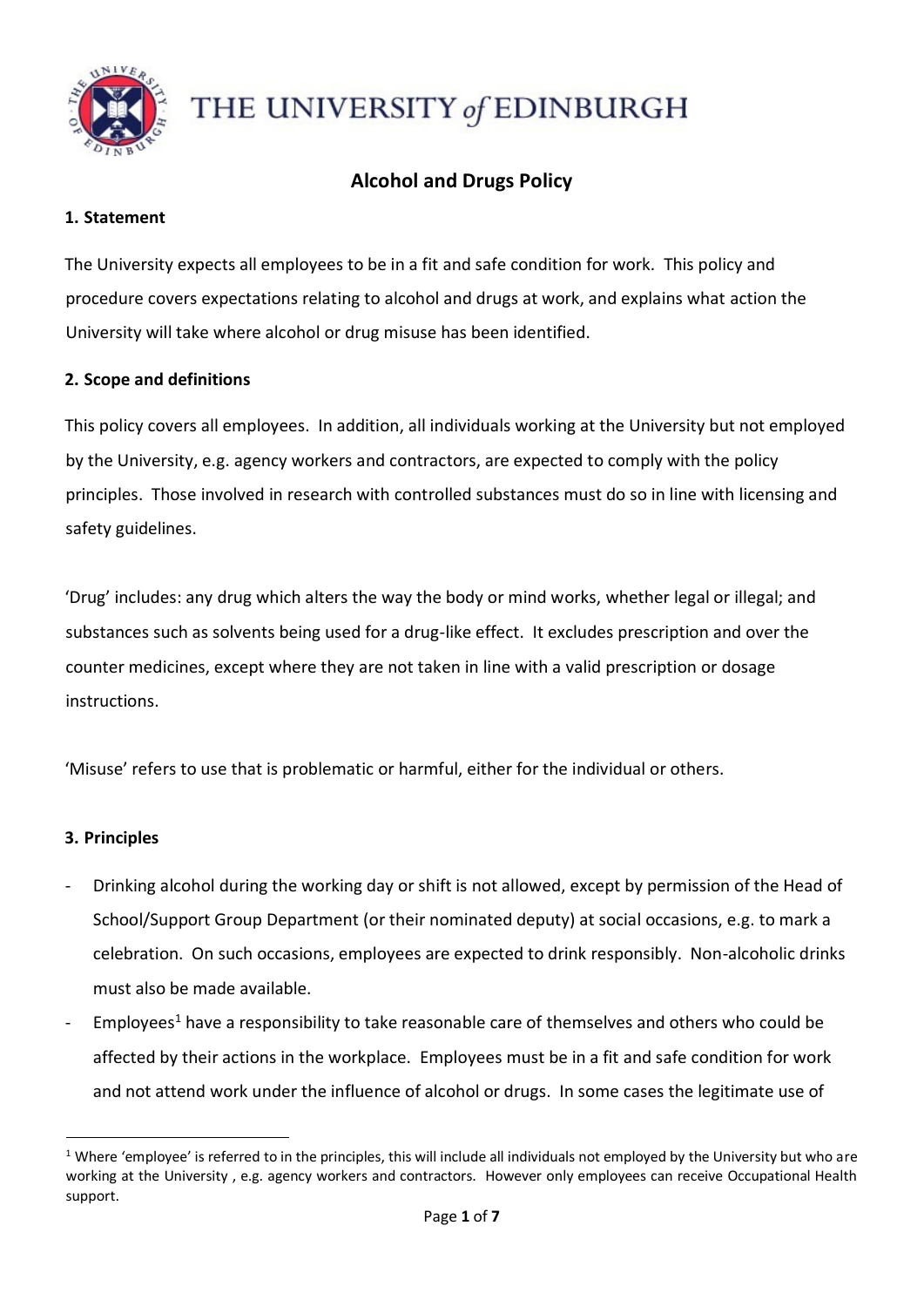

# THE UNIVERSITY of EDINBURGH

# **Alcohol and Drugs Policy**

# **1. Statement**

The University expects all employees to be in a fit and safe condition for work. This policy and procedure covers expectations relating to alcohol and drugs at work, and explains what action the University will take where alcohol or drug misuse has been identified.

# **2. Scope and definitions**

This policy covers all employees. In addition, all individuals working at the University but not employed by the University, e.g. agency workers and contractors, are expected to comply with the policy principles. Those involved in research with controlled substances must do so in line with licensing and safety guidelines.

'Drug' includes: any drug which alters the way the body or mind works, whether legal or illegal; and substances such as solvents being used for a drug-like effect. It excludes prescription and over the counter medicines, except where they are not taken in line with a valid prescription or dosage instructions.

'Misuse' refers to use that is problematic or harmful, either for the individual or others.

# **3. Principles**

 $\overline{a}$ 

- Drinking alcohol during the working day or shift is not allowed, except by permission of the Head of School/Support Group Department (or their nominated deputy) at social occasions, e.g. to mark a celebration. On such occasions, employees are expected to drink responsibly. Non-alcoholic drinks must also be made available.
- $Emplopees<sup>1</sup>$  have a responsibility to take reasonable care of themselves and others who could be affected by their actions in the workplace. Employees must be in a fit and safe condition for work and not attend work under the influence of alcohol or drugs. In some cases the legitimate use of

 $1$  Where 'employee' is referred to in the principles, this will include all individuals not employed by the University but who are working at the University , e.g. agency workers and contractors. However only employees can receive Occupational Health support.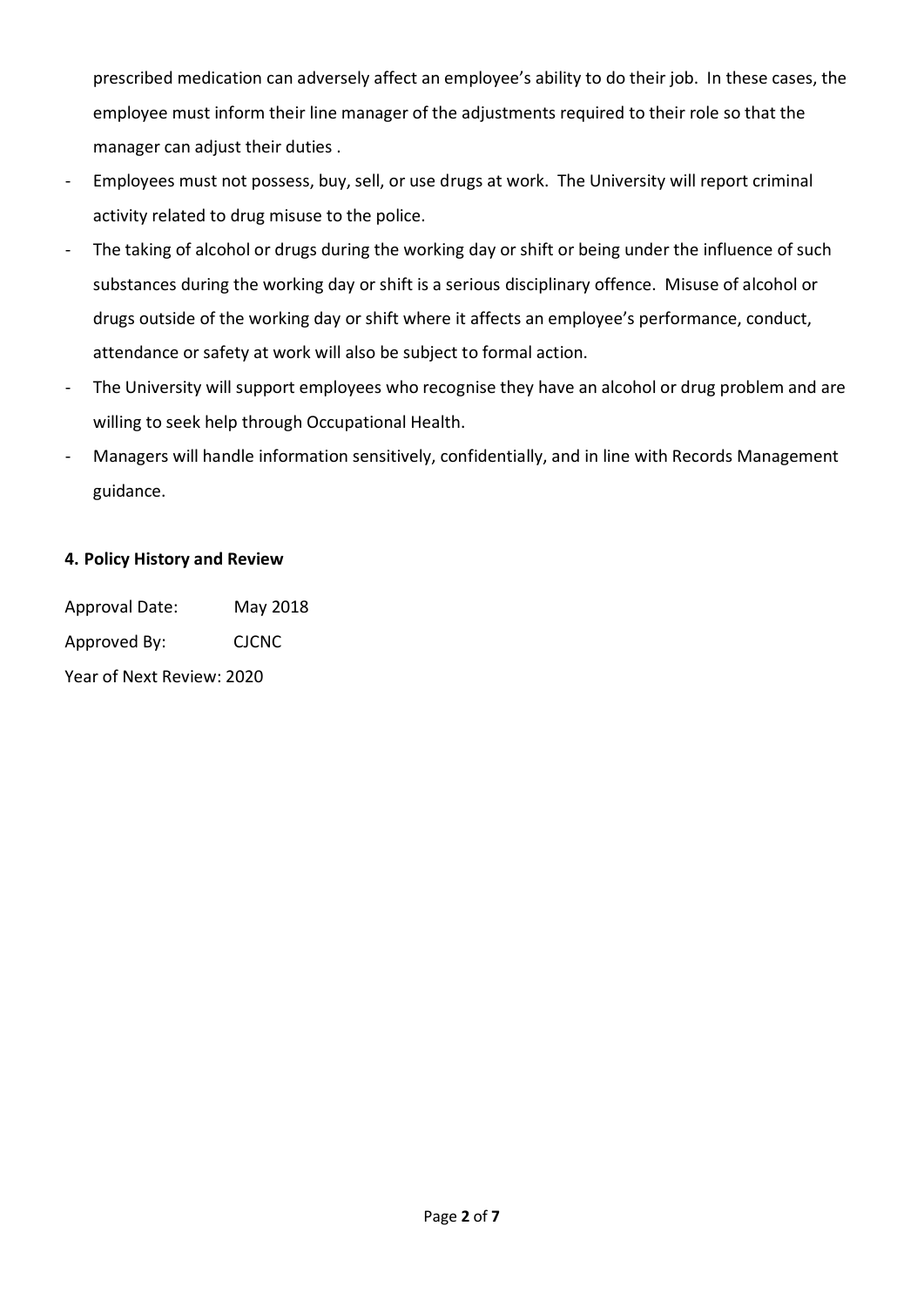prescribed medication can adversely affect an employee's ability to do their job. In these cases, the employee must inform their line manager of the adjustments required to their role so that the manager can adjust their duties .

- Employees must not possess, buy, sell, or use drugs at work. The University will report criminal activity related to drug misuse to the police.
- The taking of alcohol or drugs during the working day or shift or being under the influence of such substances during the working day or shift is a serious disciplinary offence. Misuse of alcohol or drugs outside of the working day or shift where it affects an employee's performance, conduct, attendance or safety at work will also be subject to formal action.
- The University will support employees who recognise they have an alcohol or drug problem and are willing to seek help through Occupational Health.
- Managers will handle information sensitively, confidentially, and in line with Records Management guidance.

# **4. Policy History and Review**

Approval Date: May 2018 Approved By: CJCNC

Year of Next Review: 2020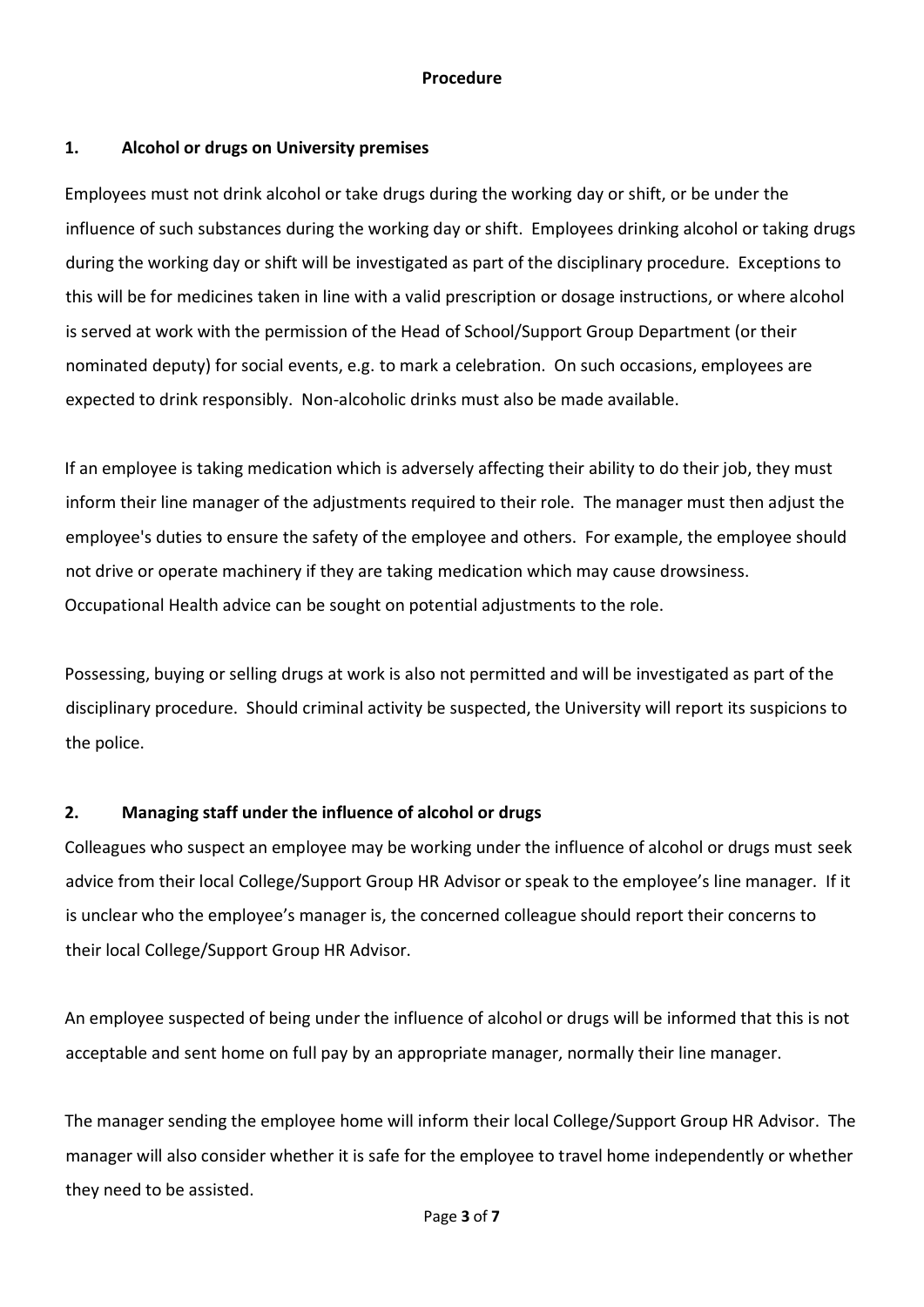#### **Procedure**

# **1. Alcohol or drugs on University premises**

Employees must not drink alcohol or take drugs during the working day or shift, or be under the influence of such substances during the working day or shift. Employees drinking alcohol or taking drugs during the working day or shift will be investigated as part of the disciplinary procedure. Exceptions to this will be for medicines taken in line with a valid prescription or dosage instructions, or where alcohol is served at work with the permission of the Head of School/Support Group Department (or their nominated deputy) for social events, e.g. to mark a celebration. On such occasions, employees are expected to drink responsibly. Non-alcoholic drinks must also be made available.

If an employee is taking medication which is adversely affecting their ability to do their job, they must inform their line manager of the adjustments required to their role. The manager must then adjust the employee's duties to ensure the safety of the employee and others. For example, the employee should not drive or operate machinery if they are taking medication which may cause drowsiness. Occupational Health advice can be sought on potential adjustments to the role.

Possessing, buying or selling drugs at work is also not permitted and will be investigated as part of the disciplinary procedure. Should criminal activity be suspected, the University will report its suspicions to the police.

# **2. Managing staff under the influence of alcohol or drugs**

Colleagues who suspect an employee may be working under the influence of alcohol or drugs must seek advice from their local College/Support Group HR Advisor or speak to the employee's line manager. If it is unclear who the employee's manager is, the concerned colleague should report their concerns to their local College/Support Group HR Advisor.

An employee suspected of being under the influence of alcohol or drugs will be informed that this is not acceptable and sent home on full pay by an appropriate manager, normally their line manager.

The manager sending the employee home will inform their local College/Support Group HR Advisor. The manager will also consider whether it is safe for the employee to travel home independently or whether they need to be assisted.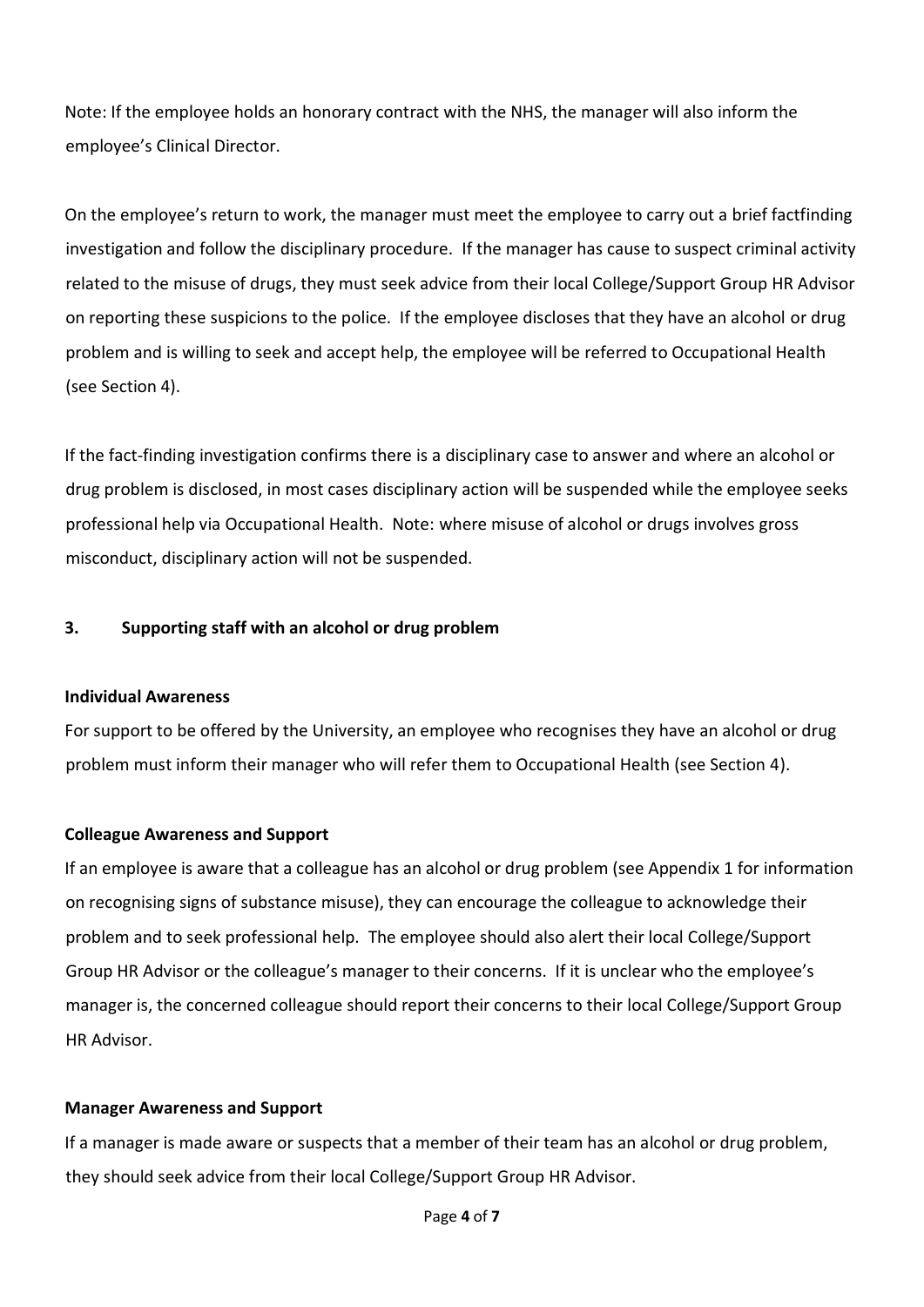Note: If the employee holds an honorary contract with the NHS, the manager will also inform the employee's Clinical Director.

On the employee's return to work, the manager must meet the employee to carry out a brief factfinding investigation and follow the disciplinary procedure. If the manager has cause to suspect criminal activity related to the misuse of drugs, they must seek advice from their local College/Support Group HR Advisor on reporting these suspicions to the police. If the employee discloses that they have an alcohol or drug problem and is willing to seek and accept help, the employee will be referred to Occupational Health (see Section 4).

If the fact-finding investigation confirms there is a disciplinary case to answer and where an alcohol or drug problem is disclosed, in most cases disciplinary action will be suspended while the employee seeks professional help via Occupational Health. Note: where misuse of alcohol or drugs involves gross misconduct, disciplinary action will not be suspended.

# **3. Supporting staff with an alcohol or drug problem**

#### **Individual Awareness**

For support to be offered by the University, an employee who recognises they have an alcohol or drug problem must inform their manager who will refer them to Occupational Health (see Section 4).

#### **Colleague Awareness and Support**

If an employee is aware that a colleague has an alcohol or drug problem (see Appendix 1 for information on recognising signs of substance misuse), they can encourage the colleague to acknowledge their problem and to seek professional help. The employee should also alert their local College/Support Group HR Advisor or the colleague's manager to their concerns. If it is unclear who the employee's manager is, the concerned colleague should report their concerns to their local College/Support Group HR Advisor.

#### **Manager Awareness and Support**

If a manager is made aware or suspects that a member of their team has an alcohol or drug problem, they should seek advice from their local College/Support Group HR Advisor.

Page **4** of **7**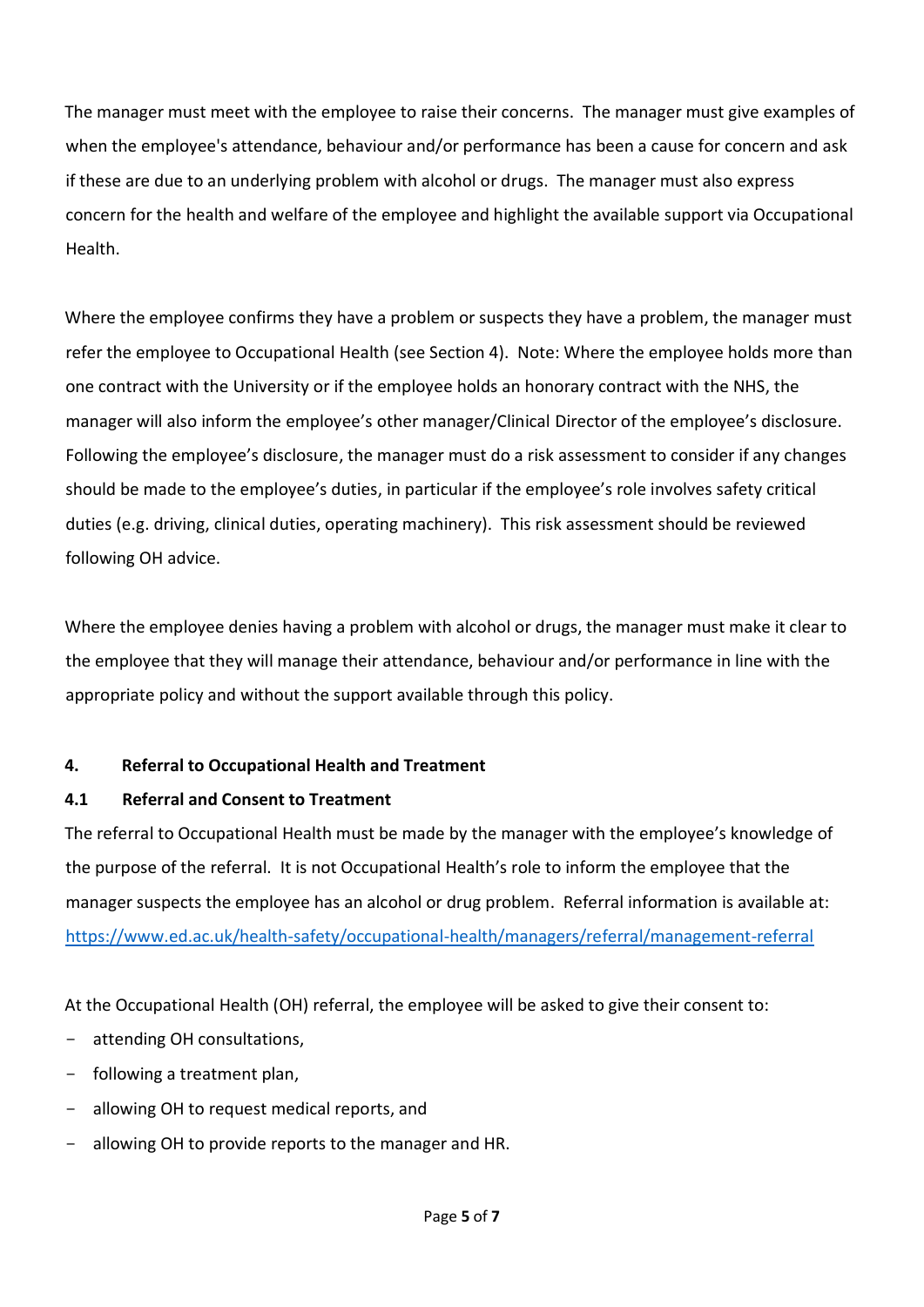The manager must meet with the employee to raise their concerns. The manager must give examples of when the employee's attendance, behaviour and/or performance has been a cause for concern and ask if these are due to an underlying problem with alcohol or drugs. The manager must also express concern for the health and welfare of the employee and highlight the available support via Occupational Health.

Where the employee confirms they have a problem or suspects they have a problem, the manager must refer the employee to Occupational Health (see Section 4). Note: Where the employee holds more than one contract with the University or if the employee holds an honorary contract with the NHS, the manager will also inform the employee's other manager/Clinical Director of the employee's disclosure. Following the employee's disclosure, the manager must do a risk assessment to consider if any changes should be made to the employee's duties, in particular if the employee's role involves safety critical duties (e.g. driving, clinical duties, operating machinery). This risk assessment should be reviewed following OH advice.

Where the employee denies having a problem with alcohol or drugs, the manager must make it clear to the employee that they will manage their attendance, behaviour and/or performance in line with the appropriate policy and without the support available through this policy.

# **4. Referral to Occupational Health and Treatment**

# **4.1 Referral and Consent to Treatment**

The referral to Occupational Health must be made by the manager with the employee's knowledge of the purpose of the referral. It is not Occupational Health's role to inform the employee that the manager suspects the employee has an alcohol or drug problem. Referral information is available at: <https://www.ed.ac.uk/health-safety/occupational-health/managers/referral/management-referral>

At the Occupational Health (OH) referral, the employee will be asked to give their consent to:

- attending OH consultations,
- following a treatment plan,
- allowing OH to request medical reports, and
- allowing OH to provide reports to the manager and HR.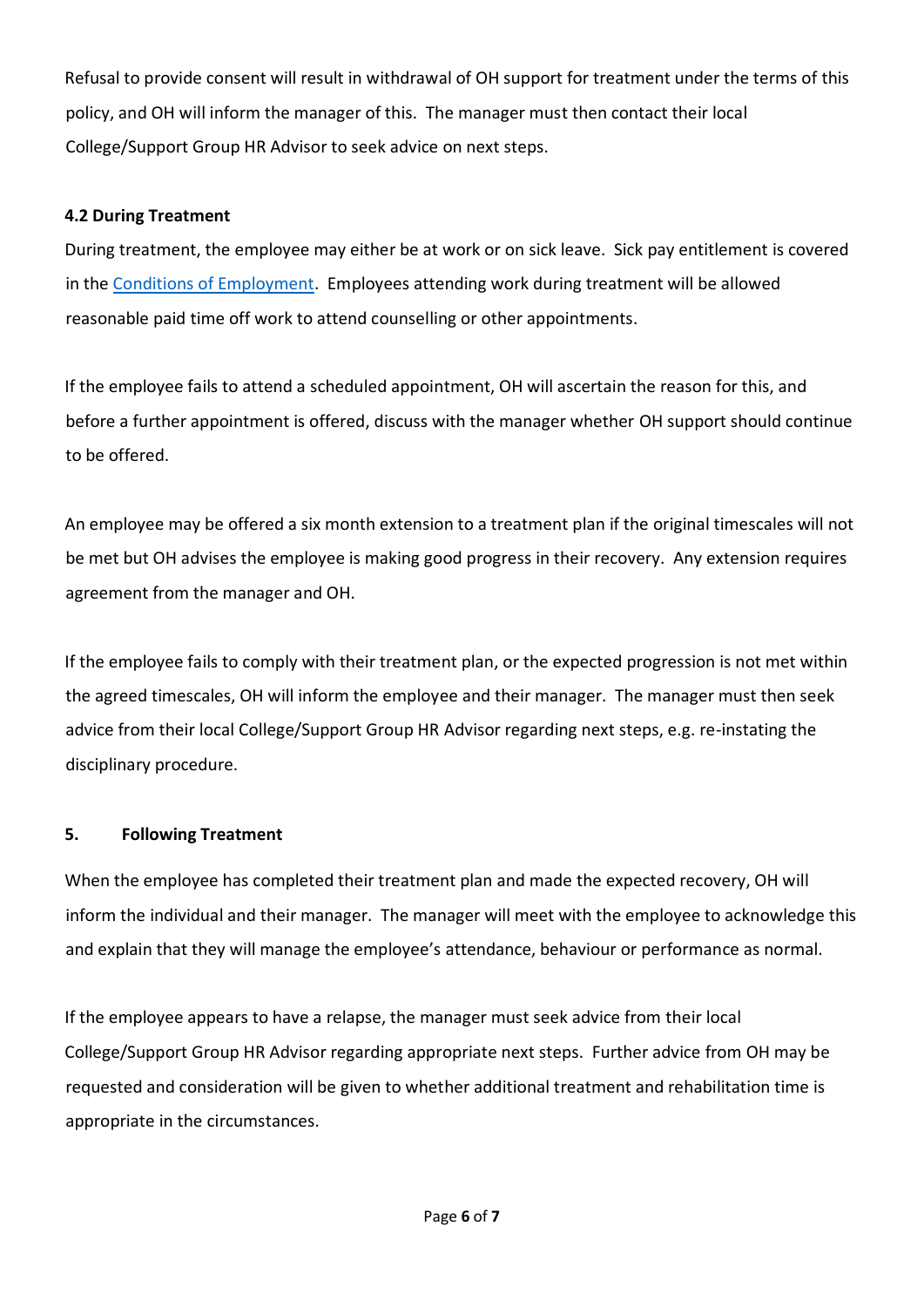Refusal to provide consent will result in withdrawal of OH support for treatment under the terms of this policy, and OH will inform the manager of this. The manager must then contact their local College/Support Group HR Advisor to seek advice on next steps.

# **4.2 During Treatment**

During treatment, the employee may either be at work or on sick leave. Sick pay entitlement is covered in the [Conditions of Employment.](https://www.ed.ac.uk/human-resources/policies-guidance/conditions-service) Employees attending work during treatment will be allowed reasonable paid time off work to attend counselling or other appointments.

If the employee fails to attend a scheduled appointment, OH will ascertain the reason for this, and before a further appointment is offered, discuss with the manager whether OH support should continue to be offered.

An employee may be offered a six month extension to a treatment plan if the original timescales will not be met but OH advises the employee is making good progress in their recovery. Any extension requires agreement from the manager and OH.

If the employee fails to comply with their treatment plan, or the expected progression is not met within the agreed timescales, OH will inform the employee and their manager. The manager must then seek advice from their local College/Support Group HR Advisor regarding next steps, e.g. re-instating the disciplinary procedure.

# **5. Following Treatment**

When the employee has completed their treatment plan and made the expected recovery, OH will inform the individual and their manager. The manager will meet with the employee to acknowledge this and explain that they will manage the employee's attendance, behaviour or performance as normal.

If the employee appears to have a relapse, the manager must seek advice from their local College/Support Group HR Advisor regarding appropriate next steps. Further advice from OH may be requested and consideration will be given to whether additional treatment and rehabilitation time is appropriate in the circumstances.